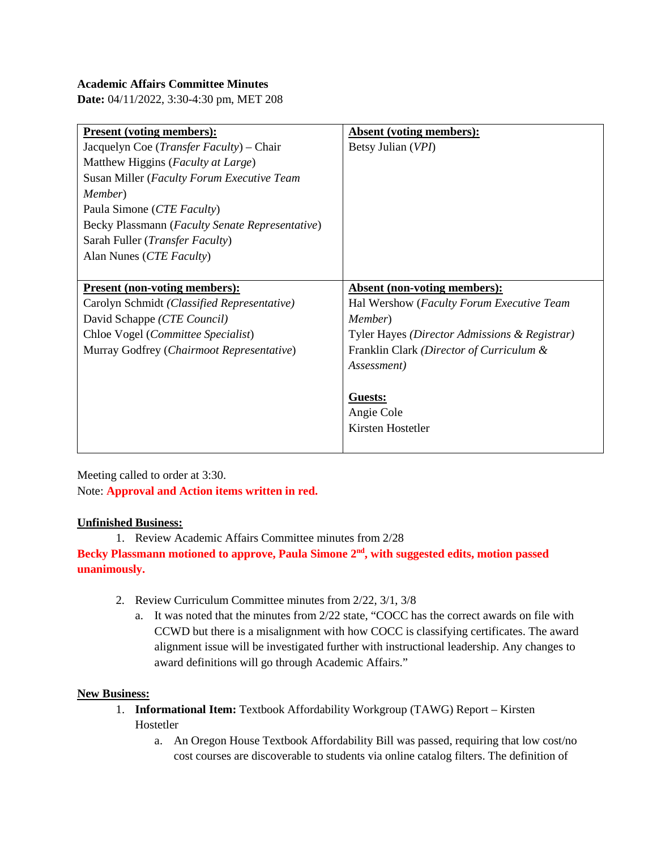# **Academic Affairs Committee Minutes**

**Date:** 04/11/2022, 3:30-4:30 pm, MET 208

| <b>Present (voting members):</b>                  | <b>Absent (voting members):</b>               |
|---------------------------------------------------|-----------------------------------------------|
| Jacquelyn Coe ( <i>Transfer Faculty</i> ) – Chair | Betsy Julian (VPI)                            |
| Matthew Higgins (Faculty at Large)                |                                               |
| Susan Miller (Faculty Forum Executive Team        |                                               |
| Member)                                           |                                               |
| Paula Simone (CTE Faculty)                        |                                               |
| Becky Plassmann (Faculty Senate Representative)   |                                               |
| Sarah Fuller ( <i>Transfer Faculty</i> )          |                                               |
| Alan Nunes (CTE Faculty)                          |                                               |
|                                                   |                                               |
| <b>Present (non-voting members):</b>              | <b>Absent (non-voting members):</b>           |
| Carolyn Schmidt (Classified Representative)       | Hal Wershow (Faculty Forum Executive Team     |
| David Schappe (CTE Council)                       | Member)                                       |
| Chloe Vogel (Committee Specialist)                | Tyler Hayes (Director Admissions & Registrar) |
| Murray Godfrey (Chairmoot Representative)         | Franklin Clark (Director of Curriculum &      |
|                                                   | Assessment)                                   |
|                                                   |                                               |
|                                                   | <b>Guests:</b>                                |
|                                                   | Angie Cole                                    |
|                                                   | Kirsten Hostetler                             |
|                                                   |                                               |

Meeting called to order at 3:30. Note: **Approval and Action items written in red.**

### **Unfinished Business:**

1. Review Academic Affairs Committee minutes from 2/28 Becky Plassmann motioned to approve, Paula Simone 2<sup>nd</sup>, with suggested edits, motion passed **unanimously.** 

- 2. Review Curriculum Committee minutes from 2/22, 3/1, 3/8
	- a. It was noted that the minutes from 2/22 state, "COCC has the correct awards on file with CCWD but there is a misalignment with how COCC is classifying certificates. The award alignment issue will be investigated further with instructional leadership. Any changes to award definitions will go through Academic Affairs."

### **New Business:**

- 1. **Informational Item:** Textbook Affordability Workgroup (TAWG) Report Kirsten Hostetler
	- a. An Oregon House Textbook Affordability Bill was passed, requiring that low cost/no cost courses are discoverable to students via online catalog filters. The definition of